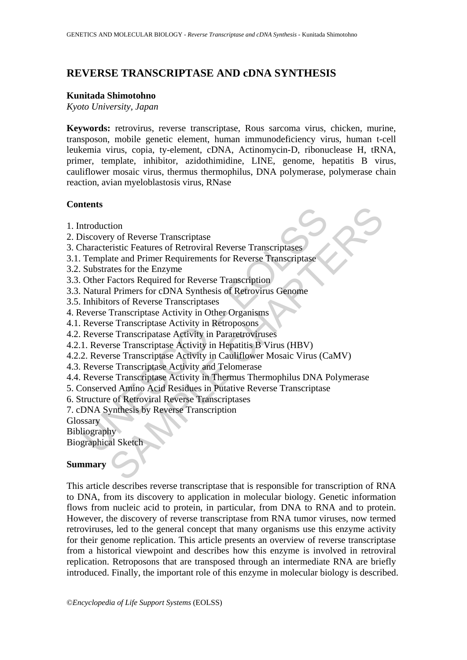# **REVERSE TRANSCRIPTASE AND cDNA SYNTHESIS**

### **Kunitada Shimotohno**

*Kyoto University, Japan* 

**Keywords:** retrovirus, reverse transcriptase, Rous sarcoma virus, chicken, murine, transposon, mobile genetic element, human immunodeficiency virus, human t-cell leukemia virus, copia, ty-element, cDNA, Actinomycin-D, ribonuclease H, tRNA, primer, template, inhibitor, azidothimidine, LINE, genome, hepatitis B virus, cauliflower mosaic virus, thermus thermophilus, DNA polymerase, polymerase chain reaction, avian myeloblastosis virus, RNase

### **Contents**

- 1. Introduction
- 2. Discovery of Reverse Transcriptase
- 3. Characteristic Features of Retroviral Reverse Transcriptases
- 3.1. Template and Primer Requirements for Reverse Transcriptase
- 3.2. Substrates for the Enzyme
- 3.3. Other Factors Required for Reverse Transcription
- 3.3. Natural Primers for cDNA Synthesis of Retrovirus Genome
- 3.5. Inhibitors of Reverse Transcriptases
- 4. Reverse Transcriptase Activity in Other Organisms
- 4.1. Reverse Transcriptase Activity in Retroposons
- 4.2. Reverse Transcripatase Activity in Pararetroviruses
- 4.2.1. Reverse Transcriptase Activity in Hepatitis B Virus (HBV)
- Introduction<br>Inclusion of Reverse Transcriptase<br>
Intracteristic Features of Retroviral Reverse Transcriptases<br>
Template and Primer Requirements for Reverse Transcriptase<br>
Substrates for the Enzyme<br>
Other Factors Required f 4.2.2. Reverse Transcriptase Activity in Cauliflower Mosaic Virus (CaMV)
- 4.3. Reverse Transcriptase Activity and Telomerase
- tion<br>
tion<br>
ty of Reverse Transcriptase<br>
reristic Features of Retroviral Reverse Transcriptases<br>
ate and Primer Requirements for Reverse Transcriptase<br>
ates for the Enzyme<br>
flactors Required for Reverse Transcription<br>
ors 4.4. Reverse Transcriptase Activity in Thermus Thermophilus DNA Polymerase
- 5. Conserved Amino Acid Residues in Putative Reverse Transcriptase
- 6. Structure of Retroviral Reverse Transcriptases
- 7. cDNA Synthesis by Reverse Transcription

**Glossary** 

**Bibliography** 

Biographical Sketch

# **Summary**

This article describes reverse transcriptase that is responsible for transcription of RNA to DNA, from its discovery to application in molecular biology. Genetic information flows from nucleic acid to protein, in particular, from DNA to RNA and to protein. However, the discovery of reverse transcriptase from RNA tumor viruses, now termed retroviruses, led to the general concept that many organisms use this enzyme activity for their genome replication. This article presents an overview of reverse transcriptase from a historical viewpoint and describes how this enzyme is involved in retroviral replication. Retroposons that are transposed through an intermediate RNA are briefly introduced. Finally, the important role of this enzyme in molecular biology is described.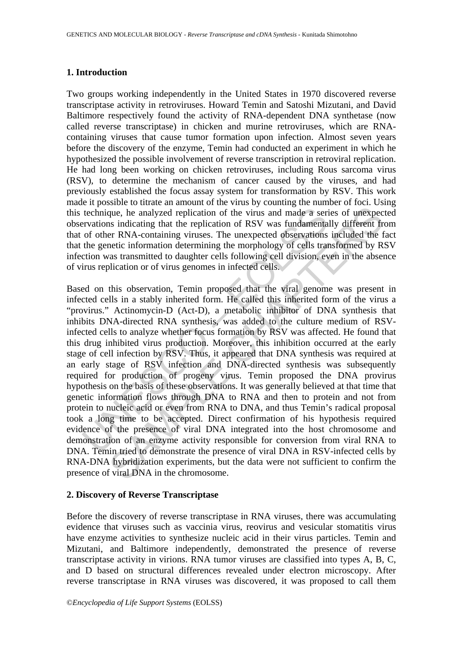# **1. Introduction**

Two groups working independently in the United States in 1970 discovered reverse transcriptase activity in retroviruses. Howard Temin and Satoshi Mizutani, and David Baltimore respectively found the activity of RNA-dependent DNA synthetase (now called reverse transcriptase) in chicken and murine retroviruses, which are RNAcontaining viruses that cause tumor formation upon infection. Almost seven years before the discovery of the enzyme, Temin had conducted an experiment in which he hypothesized the possible involvement of reverse transcription in retroviral replication. He had long been working on chicken retroviruses, including Rous sarcoma virus (RSV), to determine the mechanism of cancer caused by the viruses, and had previously established the focus assay system for transformation by RSV. This work made it possible to titrate an amount of the virus by counting the number of foci. Using this technique, he analyzed replication of the virus and made a series of unexpected observations indicating that the replication of RSV was fundamentally different from that of other RNA-containing viruses. The unexpected observations included the fact that the genetic information determining the morphology of cells transformed by RSV infection was transmitted to daughter cells following cell division, even in the absence of virus replication or of virus genomes in infected cells.

technique, he analyzed replication of the virus and made a serievations indicating that the replication of RSV was fundamenta of other RNA-containing viruses. The unexpected observations the genetic information determining que, he analyzed replication of the virus and made a series of unexpects indicating that the replication of RSV was fundamentally different frem RNA-containing viruses. The unexpected observations included the firet rememb Based on this observation, Temin proposed that the viral genome was present in infected cells in a stably inherited form. He called this inherited form of the virus a "provirus." Actinomycin-D (Act-D), a metabolic inhibitor of DNA synthesis that inhibits DNA-directed RNA synthesis, was added to the culture medium of RSVinfected cells to analyze whether focus formation by RSV was affected. He found that this drug inhibited virus production. Moreover, this inhibition occurred at the early stage of cell infection by RSV. Thus, it appeared that DNA synthesis was required at an early stage of RSV infection and DNA-directed synthesis was subsequently required for production of progeny virus. Temin proposed the DNA provirus hypothesis on the basis of these observations. It was generally believed at that time that genetic information flows through DNA to RNA and then to protein and not from protein to nucleic acid or even from RNA to DNA, and thus Temin's radical proposal took a long time to be accepted. Direct confirmation of his hypothesis required evidence of the presence of viral DNA integrated into the host chromosome and demonstration of an enzyme activity responsible for conversion from viral RNA to DNA. Temin tried to demonstrate the presence of viral DNA in RSV-infected cells by RNA-DNA hybridization experiments, but the data were not sufficient to confirm the presence of viral DNA in the chromosome.

### **2. Discovery of Reverse Transcriptase**

Before the discovery of reverse transcriptase in RNA viruses, there was accumulating evidence that viruses such as vaccinia virus, reovirus and vesicular stomatitis virus have enzyme activities to synthesize nucleic acid in their virus particles. Temin and Mizutani, and Baltimore independently, demonstrated the presence of reverse transcriptase activity in virions. RNA tumor viruses are classified into types A, B, C, and D based on structural differences revealed under electron microscopy. After reverse transcriptase in RNA viruses was discovered, it was proposed to call them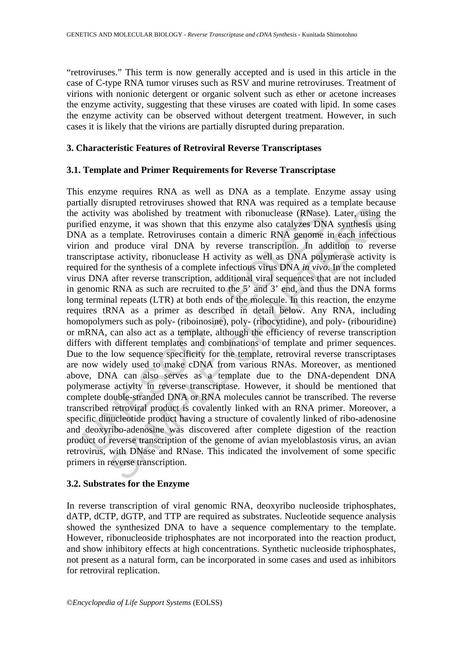"retroviruses." This term is now generally accepted and is used in this article in the case of C-type RNA tumor viruses such as RSV and murine retroviruses. Treatment of virions with nonionic detergent or organic solvent such as ether or acetone increases the enzyme activity, suggesting that these viruses are coated with lipid. In some cases the enzyme activity can be observed without detergent treatment. However, in such cases it is likely that the virions are partially disrupted during preparation.

## **3. Characteristic Features of Retroviral Reverse Transcriptases**

## **3.1. Template and Primer Requirements for Reverse Transcriptase**

activity was abolished by treatment with ribonuclease (RNase).<br>
fied enzyme, it was shown that this enzyme also catalyzes DN.<br>
A as a template. Retroviruses contain a dimeric RNA genome i<br>
on and produce viral DNA by rever x was abolished by treatment with riboundease (RNase). Later, using<br>zyme, it was shown that this enzyme also catalyzes DNA synthesis us<br>template. Retroviuses contain a dimeric RNA genome in each infective<br>l produce viral This enzyme requires RNA as well as DNA as a template. Enzyme assay using partially disrupted retroviruses showed that RNA was required as a template because the activity was abolished by treatment with ribonuclease (RNase). Later, using the purified enzyme, it was shown that this enzyme also catalyzes DNA synthesis using DNA as a template. Retroviruses contain a dimeric RNA genome in each infectious virion and produce viral DNA by reverse transcription. In addition to reverse transcriptase activity, ribonuclease H activity as well as DNA polymerase activity is required for the synthesis of a complete infectious virus DNA *in vivo*. In the completed virus DNA after reverse transcription, additional viral sequences that are not included in genomic RNA as such are recruited to the 5' and 3' end, and thus the DNA forms long terminal repeats (LTR) at both ends of the molecule. In this reaction, the enzyme requires tRNA as a primer as described in detail below. Any RNA, including homopolymers such as poly- (riboinosine), poly- (ribocytidine), and poly- (ribouridine) or mRNA, can also act as a template, although the efficiency of reverse transcription differs with different templates and combinations of template and primer sequences. Due to the low sequence specificity for the template, retroviral reverse transcriptases are now widely used to make cDNA from various RNAs. Moreover, as mentioned above, DNA can also serves as a template due to the DNA-dependent DNA polymerase activity in reverse transcriptase. However, it should be mentioned that complete double-stranded DNA or RNA molecules cannot be transcribed. The reverse transcribed retroviral product is covalently linked with an RNA primer. Moreover, a specific dinucleotide product having a structure of covalently linked of ribo-adenosine and deoxyribo-adenosine was discovered after complete digestion of the reaction product of reverse transcription of the genome of avian myeloblastosis virus, an avian retrovirus, with DNase and RNase. This indicated the involvement of some specific primers in reverse transcription.

### **3.2. Substrates for the Enzyme**

In reverse transcription of viral genomic RNA, deoxyribo nucleoside triphosphates, dATP, dCTP, dGTP, and TTP are required as substrates. Nucleotide sequence analysis showed the synthesized DNA to have a sequence complementary to the template. However, ribonucleoside triphosphates are not incorporated into the reaction product, and show inhibitory effects at high concentrations. Synthetic nucleoside triphosphates, not present as a natural form, can be incorporated in some cases and used as inhibitors for retroviral replication.